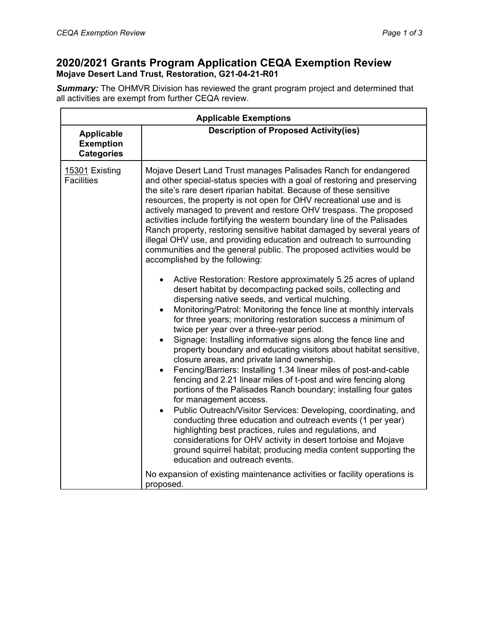# **2020/2021 Grants Program Application CEQA Exemption Review Mojave Desert Land Trust, Restoration, G21-04-21-R01**

*Summary:* The OHMVR Division has reviewed the grant program project and determined that all activities are exempt from further CEQA review.

| <b>Applicable Exemptions</b>                               |                                                                                                                                                                                                                                                                                                                                                                                                                                                                                                                                                                                                                                                                                                                                                                                                                                                                                                                                                                                                                                                                                                                                                                                                                                                                                                                                                                                                                                                                                                                                                                                                                                                                                                                                                                                                                                                                                       |  |  |
|------------------------------------------------------------|---------------------------------------------------------------------------------------------------------------------------------------------------------------------------------------------------------------------------------------------------------------------------------------------------------------------------------------------------------------------------------------------------------------------------------------------------------------------------------------------------------------------------------------------------------------------------------------------------------------------------------------------------------------------------------------------------------------------------------------------------------------------------------------------------------------------------------------------------------------------------------------------------------------------------------------------------------------------------------------------------------------------------------------------------------------------------------------------------------------------------------------------------------------------------------------------------------------------------------------------------------------------------------------------------------------------------------------------------------------------------------------------------------------------------------------------------------------------------------------------------------------------------------------------------------------------------------------------------------------------------------------------------------------------------------------------------------------------------------------------------------------------------------------------------------------------------------------------------------------------------------------|--|--|
| <b>Applicable</b><br><b>Exemption</b><br><b>Categories</b> | <b>Description of Proposed Activity(ies)</b>                                                                                                                                                                                                                                                                                                                                                                                                                                                                                                                                                                                                                                                                                                                                                                                                                                                                                                                                                                                                                                                                                                                                                                                                                                                                                                                                                                                                                                                                                                                                                                                                                                                                                                                                                                                                                                          |  |  |
| 15301 Existing<br><b>Facilities</b>                        | Mojave Desert Land Trust manages Palisades Ranch for endangered<br>and other special-status species with a goal of restoring and preserving<br>the site's rare desert riparian habitat. Because of these sensitive<br>resources, the property is not open for OHV recreational use and is<br>actively managed to prevent and restore OHV trespass. The proposed<br>activities include fortifying the western boundary line of the Palisades<br>Ranch property, restoring sensitive habitat damaged by several years of<br>illegal OHV use, and providing education and outreach to surrounding<br>communities and the general public. The proposed activities would be<br>accomplished by the following:<br>Active Restoration: Restore approximately 5.25 acres of upland<br>desert habitat by decompacting packed soils, collecting and<br>dispersing native seeds, and vertical mulching.<br>Monitoring/Patrol: Monitoring the fence line at monthly intervals<br>for three years; monitoring restoration success a minimum of<br>twice per year over a three-year period.<br>Signage: Installing informative signs along the fence line and<br>property boundary and educating visitors about habitat sensitive,<br>closure areas, and private land ownership.<br>Fencing/Barriers: Installing 1.34 linear miles of post-and-cable<br>fencing and 2.21 linear miles of t-post and wire fencing along<br>portions of the Palisades Ranch boundary; installing four gates<br>for management access.<br>Public Outreach/Visitor Services: Developing, coordinating, and<br>$\bullet$<br>conducting three education and outreach events (1 per year)<br>highlighting best practices, rules and regulations, and<br>considerations for OHV activity in desert tortoise and Mojave<br>ground squirrel habitat; producing media content supporting the<br>education and outreach events. |  |  |
|                                                            | No expansion of existing maintenance activities or facility operations is<br>proposed.                                                                                                                                                                                                                                                                                                                                                                                                                                                                                                                                                                                                                                                                                                                                                                                                                                                                                                                                                                                                                                                                                                                                                                                                                                                                                                                                                                                                                                                                                                                                                                                                                                                                                                                                                                                                |  |  |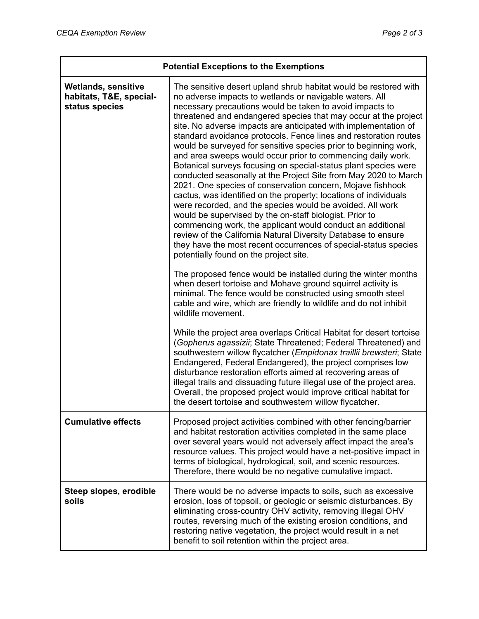| <b>Potential Exceptions to the Exemptions</b>                           |                                                                                                                                                                                                                                                                                                                                                                                                                                                                                                                                                                                                                                                                                                                                                                                                                                                                                                                                                                                                                                                                                                                                                                                                                                                                                                                                                                                                                                                                                                                                                                                                                                                                                                                                                           |  |
|-------------------------------------------------------------------------|-----------------------------------------------------------------------------------------------------------------------------------------------------------------------------------------------------------------------------------------------------------------------------------------------------------------------------------------------------------------------------------------------------------------------------------------------------------------------------------------------------------------------------------------------------------------------------------------------------------------------------------------------------------------------------------------------------------------------------------------------------------------------------------------------------------------------------------------------------------------------------------------------------------------------------------------------------------------------------------------------------------------------------------------------------------------------------------------------------------------------------------------------------------------------------------------------------------------------------------------------------------------------------------------------------------------------------------------------------------------------------------------------------------------------------------------------------------------------------------------------------------------------------------------------------------------------------------------------------------------------------------------------------------------------------------------------------------------------------------------------------------|--|
| <b>Wetlands, sensitive</b><br>habitats, T&E, special-<br>status species | The sensitive desert upland shrub habitat would be restored with<br>no adverse impacts to wetlands or navigable waters. All<br>necessary precautions would be taken to avoid impacts to<br>threatened and endangered species that may occur at the project<br>site. No adverse impacts are anticipated with implementation of<br>standard avoidance protocols. Fence lines and restoration routes<br>would be surveyed for sensitive species prior to beginning work,<br>and area sweeps would occur prior to commencing daily work.<br>Botanical surveys focusing on special-status plant species were<br>conducted seasonally at the Project Site from May 2020 to March<br>2021. One species of conservation concern, Mojave fishhook<br>cactus, was identified on the property; locations of individuals<br>were recorded, and the species would be avoided. All work<br>would be supervised by the on-staff biologist. Prior to<br>commencing work, the applicant would conduct an additional<br>review of the California Natural Diversity Database to ensure<br>they have the most recent occurrences of special-status species<br>potentially found on the project site.<br>The proposed fence would be installed during the winter months<br>when desert tortoise and Mohave ground squirrel activity is<br>minimal. The fence would be constructed using smooth steel<br>cable and wire, which are friendly to wildlife and do not inhibit<br>wildlife movement.<br>While the project area overlaps Critical Habitat for desert tortoise<br>(Gopherus agassizii; State Threatened; Federal Threatened) and<br>southwestern willow flycatcher (Empidonax traillii brewsteri; State<br>Endangered, Federal Endangered), the project comprises low |  |
|                                                                         | disturbance restoration efforts aimed at recovering areas of<br>illegal trails and dissuading future illegal use of the project area.<br>Overall, the proposed project would improve critical habitat for<br>the desert tortoise and southwestern willow flycatcher.                                                                                                                                                                                                                                                                                                                                                                                                                                                                                                                                                                                                                                                                                                                                                                                                                                                                                                                                                                                                                                                                                                                                                                                                                                                                                                                                                                                                                                                                                      |  |
| <b>Cumulative effects</b>                                               | Proposed project activities combined with other fencing/barrier<br>and habitat restoration activities completed in the same place<br>over several years would not adversely affect impact the area's<br>resource values. This project would have a net-positive impact in<br>terms of biological, hydrological, soil, and scenic resources.<br>Therefore, there would be no negative cumulative impact.                                                                                                                                                                                                                                                                                                                                                                                                                                                                                                                                                                                                                                                                                                                                                                                                                                                                                                                                                                                                                                                                                                                                                                                                                                                                                                                                                   |  |
| Steep slopes, erodible<br>soils                                         | There would be no adverse impacts to soils, such as excessive<br>erosion, loss of topsoil, or geologic or seismic disturbances. By<br>eliminating cross-country OHV activity, removing illegal OHV<br>routes, reversing much of the existing erosion conditions, and<br>restoring native vegetation, the project would result in a net<br>benefit to soil retention within the project area.                                                                                                                                                                                                                                                                                                                                                                                                                                                                                                                                                                                                                                                                                                                                                                                                                                                                                                                                                                                                                                                                                                                                                                                                                                                                                                                                                              |  |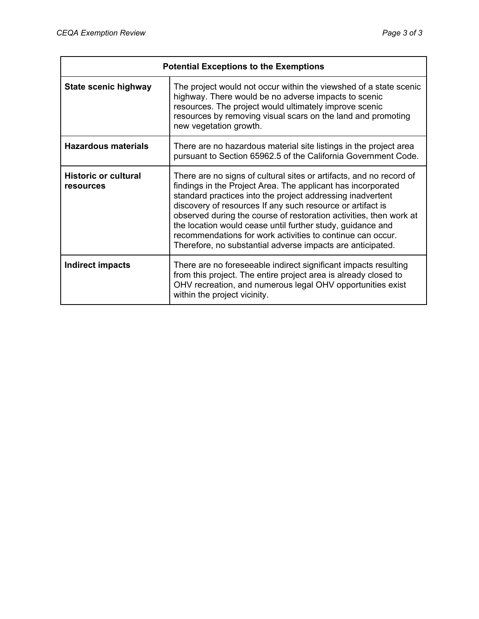| <b>Potential Exceptions to the Exemptions</b> |                                                                                                                                                                                                                                                                                                                                                                                                                                                                                                                                 |  |  |
|-----------------------------------------------|---------------------------------------------------------------------------------------------------------------------------------------------------------------------------------------------------------------------------------------------------------------------------------------------------------------------------------------------------------------------------------------------------------------------------------------------------------------------------------------------------------------------------------|--|--|
| State scenic highway                          | The project would not occur within the viewshed of a state scenic<br>highway. There would be no adverse impacts to scenic<br>resources. The project would ultimately improve scenic<br>resources by removing visual scars on the land and promoting<br>new vegetation growth.                                                                                                                                                                                                                                                   |  |  |
| <b>Hazardous materials</b>                    | There are no hazardous material site listings in the project area<br>pursuant to Section 65962.5 of the California Government Code.                                                                                                                                                                                                                                                                                                                                                                                             |  |  |
| <b>Historic or cultural</b><br>resources      | There are no signs of cultural sites or artifacts, and no record of<br>findings in the Project Area. The applicant has incorporated<br>standard practices into the project addressing inadvertent<br>discovery of resources If any such resource or artifact is<br>observed during the course of restoration activities, then work at<br>the location would cease until further study, guidance and<br>recommendations for work activities to continue can occur.<br>Therefore, no substantial adverse impacts are anticipated. |  |  |
| Indirect impacts                              | There are no foreseeable indirect significant impacts resulting<br>from this project. The entire project area is already closed to<br>OHV recreation, and numerous legal OHV opportunities exist<br>within the project vicinity.                                                                                                                                                                                                                                                                                                |  |  |